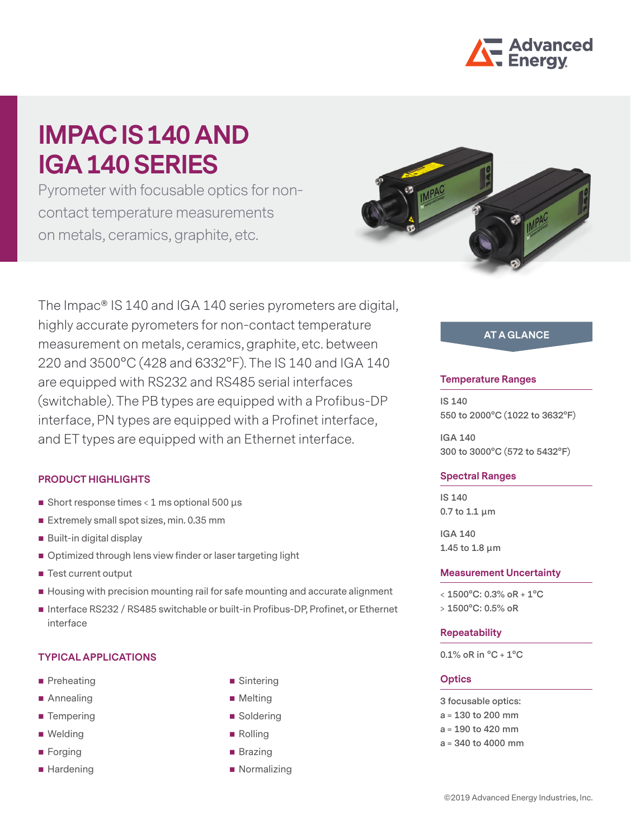

# **IMPAC IS 140 AND IGA 140 SERIES**

Pyrometer with focusable optics for noncontact temperature measurements on metals, ceramics, graphite, etc.



The Impac® IS 140 and IGA 140 series pyrometers are digital, highly accurate pyrometers for non-contact temperature measurement on metals, ceramics, graphite, etc. between 220 and 3500°C (428 and 6332°F). The IS 140 and IGA 140 are equipped with RS232 and RS485 serial interfaces (switchable). The PB types are equipped with a Profibus-DP interface, PN types are equipped with a Profinet interface, and ET types are equipped with an Ethernet interface.

### **PRODUCT HIGHLIGHTS**

- Short response times  $<$  1 ms optional 500  $\mu$ s
- Extremely small spot sizes, min. 0.35 mm
- **Built-in digital display**
- Optimized through lens view finder or laser targeting light
- Test current output
- Housing with precision mounting rail for safe mounting and accurate alignment
- Interface RS232 / RS485 switchable or built-in Profibus-DP, Profinet, or Ethernet interface

#### **TYPICAL APPLICATIONS**

- **Preheating**
- Annealing
- **Tempering**
- Welding
- **Forging**
- Hardening
- Sintering
- **Melting**
- Soldering
- Rolling
- **Brazing**
- **Normalizing**

# **AT A GLANCE**

#### **Temperature Ranges**

**IS 140 550 to 2000°C (1022 to 3632°F)**

**IGA 140 300 to 3000°C (572 to 5432°F)**

#### **Spectral Ranges**

**IS 140 0.7 to 1.1 µm**

**IGA 140 1.45 to 1.8 µm**

#### **Measurement Uncertainty**

**< 1500°C: 0.3% oR + 1°C > 1500°C: 0.5% oR**

#### **Repeatability**

**0.1% oR in °C + 1°C**

#### **Optics**

**3 focusable optics:**

- **a = 130 to 200 mm**
- **a = 190 to 420 mm**
- **a = 340 to 4000 mm**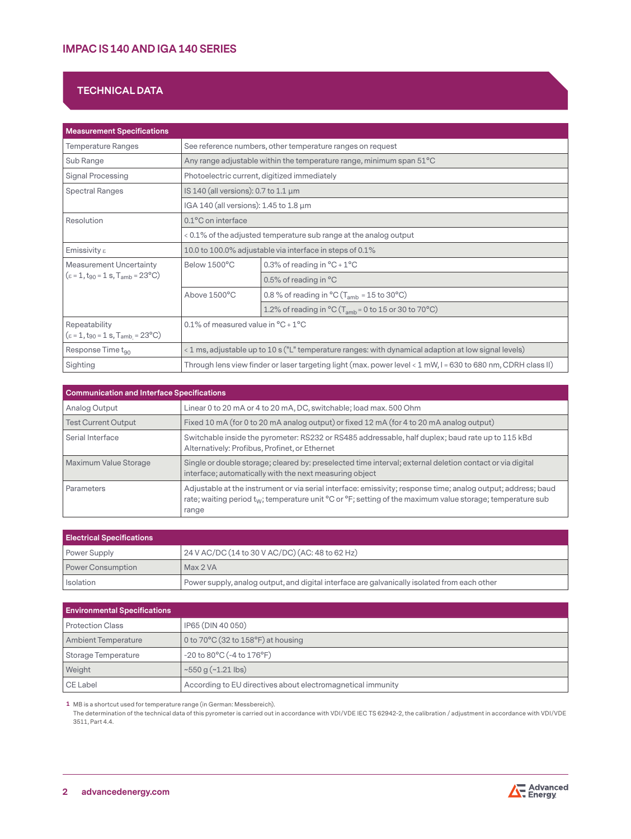# **TECHNICAL DATA**

| <b>Measurement Specifications</b>                                                      |                                                                                                               |                                                                                       |  |  |
|----------------------------------------------------------------------------------------|---------------------------------------------------------------------------------------------------------------|---------------------------------------------------------------------------------------|--|--|
| <b>Temperature Ranges</b>                                                              | See reference numbers, other temperature ranges on request                                                    |                                                                                       |  |  |
| Sub Range                                                                              |                                                                                                               | Any range adjustable within the temperature range, minimum span 51°C                  |  |  |
| Signal Processing                                                                      |                                                                                                               | Photoelectric current, digitized immediately                                          |  |  |
| <b>Spectral Ranges</b>                                                                 | IS 140 (all versions): 0.7 to 1.1 μm                                                                          |                                                                                       |  |  |
|                                                                                        | IGA 140 (all versions): 1.45 to 1.8 µm                                                                        |                                                                                       |  |  |
| Resolution                                                                             | $0.1$ °C on interface                                                                                         |                                                                                       |  |  |
|                                                                                        | < 0.1% of the adjusted temperature sub range at the analog output                                             |                                                                                       |  |  |
| Emissivity $\varepsilon$                                                               |                                                                                                               | 10.0 to 100.0% adjustable via interface in steps of 0.1%                              |  |  |
| <b>Measurement Uncertainty</b>                                                         | Below 1500°C                                                                                                  | 0.3% of reading in $^{\circ}$ C + 1 $^{\circ}$ C                                      |  |  |
| $(\epsilon = 1, t_{90} = 1 s, T_{amb} = 23^{\circ}C)$                                  |                                                                                                               | 0.5% of reading in °C                                                                 |  |  |
|                                                                                        | Above 1500°C                                                                                                  | 0.8 % of reading in $^{\circ}$ C (T <sub>amb</sub> = 15 to 30 °C)                     |  |  |
|                                                                                        |                                                                                                               | 1.2% of reading in $^{\circ}$ C (T <sub>amb</sub> = 0 to 15 or 30 to 70 $^{\circ}$ C) |  |  |
| Repeatability<br>$(\epsilon = 1, t_{90} = 1 \text{ s}, T_{amb} = 23^{\circ} \text{C})$ | 0.1% of measured value in ${}^{\circ}C + 1{}^{\circ}C$                                                        |                                                                                       |  |  |
| Response Time t <sub>90</sub>                                                          | < 1 ms, adjustable up to 10 s ("L" temperature ranges: with dynamical adaption at low signal levels)          |                                                                                       |  |  |
| Sighting                                                                               | Through lens view finder or laser targeting light (max. power level < 1 mW, I = 630 to 680 nm, CDRH class II) |                                                                                       |  |  |

| Communication and Interface Specifications |                                                                                                                                                                                                                                         |  |  |
|--------------------------------------------|-----------------------------------------------------------------------------------------------------------------------------------------------------------------------------------------------------------------------------------------|--|--|
| Analog Output                              | Linear 0 to 20 mA or 4 to 20 mA, DC, switchable; load max, 500 Ohm                                                                                                                                                                      |  |  |
| <b>Test Current Output</b>                 | Fixed 10 mA (for 0 to 20 mA analog output) or fixed 12 mA (for 4 to 20 mA analog output)                                                                                                                                                |  |  |
| Serial Interface                           | Switchable inside the pyrometer: RS232 or RS485 addressable, half duplex; baud rate up to 115 kBd<br>Alternatively: Profibus, Profinet, or Ethernet                                                                                     |  |  |
| Maximum Value Storage                      | Single or double storage; cleared by: preselected time interval; external deletion contact or via digital<br>interface; automatically with the next measuring object                                                                    |  |  |
| Parameters                                 | Adjustable at the instrument or via serial interface: emissivity; response time; analog output; address; baud<br>rate; waiting period $t_w$ ; temperature unit °C or °F; setting of the maximum value storage; temperature sub<br>range |  |  |

| <b>Electrical Specifications</b> |                                                                                              |  |  |  |
|----------------------------------|----------------------------------------------------------------------------------------------|--|--|--|
| Power Supply                     | 24 V AC/DC (14 to 30 V AC/DC) (AC: 48 to 62 Hz)                                              |  |  |  |
| Power Consumption                | Max 2 VA                                                                                     |  |  |  |
| Isolation                        | Power supply, analog output, and digital interface are galvanically isolated from each other |  |  |  |

| <b>Environmental Specifications</b> |                                                             |  |  |  |  |
|-------------------------------------|-------------------------------------------------------------|--|--|--|--|
| <b>Protection Class</b>             | IP65 (DIN 40 050)                                           |  |  |  |  |
| <b>Ambient Temperature</b>          | 0 to 70 $\degree$ C (32 to 158 $\degree$ F) at housing      |  |  |  |  |
| Storage Temperature                 | $-20$ to $80^{\circ}$ C ( $-4$ to $176^{\circ}$ F)          |  |  |  |  |
| Weight                              | $\approx$ 550 g ( $\approx$ 1.21 lbs)                       |  |  |  |  |
| CE Label                            | According to EU directives about electromagnetical immunity |  |  |  |  |

**1** MB is a shortcut used for temperature range (in German: Messbereich).

The determination of the technical data of this pyrometer is carried out in accordance with VDI/VDE IEC TS 62942-2, the calibration / adjustment in accordance with VDI/VDE 3511, Part 4.4.

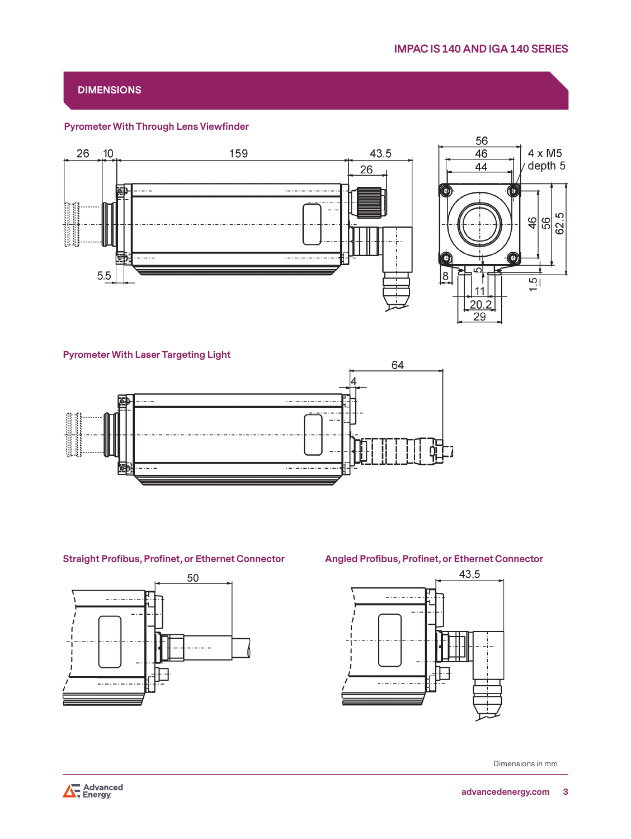# **DIMENSIONS**

### **Pyrometer With Through Lens Viewfinder**



#### **Pyrometer With Laser Targeting Light**



# **Straight Profibus, Profinet, or Ethernet Connector Angled Profibus, Profinet, or Ethernet Connector**





Dimensions in mm

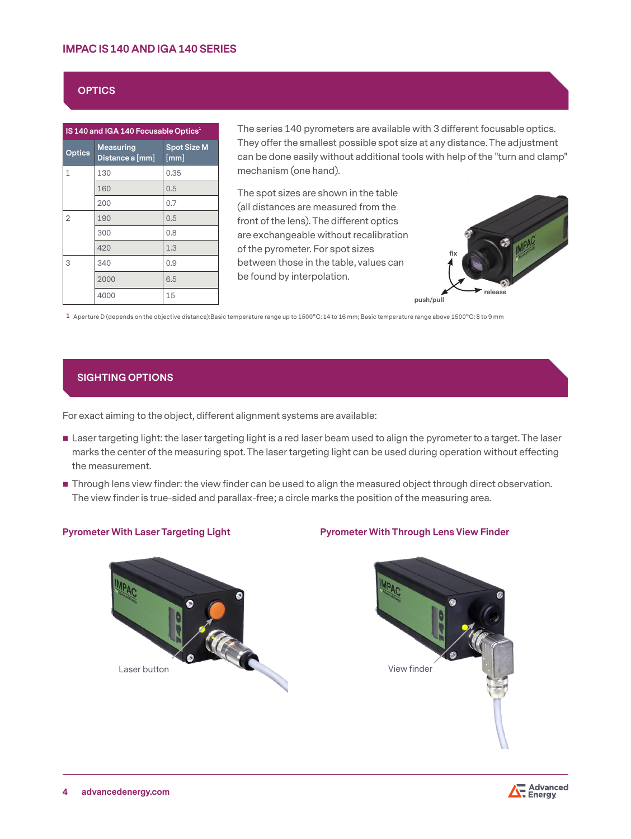# **IMPAC IS 140 AND IGA 140 SERIES**

## **OPTICS**

| IS 140 and IGA 140 Focusable Optics <sup>1</sup> |                              |                            |  |
|--------------------------------------------------|------------------------------|----------------------------|--|
| <b>Optics</b>                                    | Measuring<br>Distance a [mm] | <b>Spot Size M</b><br>[mm] |  |
| $\mathbf{1}$                                     | 130                          | 0.35                       |  |
|                                                  | 160                          | 0.5                        |  |
|                                                  | 200                          | 0.7                        |  |
| $\overline{2}$                                   | 190                          | 0.5                        |  |
|                                                  | 300                          | 0.8                        |  |
|                                                  | 420                          | 1.3                        |  |
| 3                                                | 340                          | 0.9                        |  |
|                                                  | 2000                         | 6.5                        |  |
|                                                  | 4000                         | 15                         |  |

The series 140 pyrometers are available with 3 different focusable optics. They offer the smallest possible spot size at any distance. The adjustment can be done easily without additional tools with help of the "turn and clamp" mechanism (one hand).

The spot sizes are shown in the table (all distances are measured from the front of the lens). The different optics are exchangeable without recalibration of the pyrometer. For spot sizes between those in the table, values can be found by interpolation.



**1** Aperture D (depends on the objective distance):Basic temperature range up to 1500°C: 14 to 16 mm; Basic temperature range above 1500°C: 8 to 9 mm

### **SIGHTING OPTIONS**

For exact aiming to the object, different alignment systems are available:

- **Laser targeting light: the laser targeting light is a red laser beam used to align the pyrometer to a target. The laser** marks the center of the measuring spot. The laser targeting light can be used during operation without effecting the measurement.
- **Through lens view finder: the view finder can be used to align the measured object through direct observation.** The view finder is true-sided and parallax-free; a circle marks the position of the measuring area.



### **Pyrometer With Laser Targeting Light Pyrometer With Through Lens View Finder**



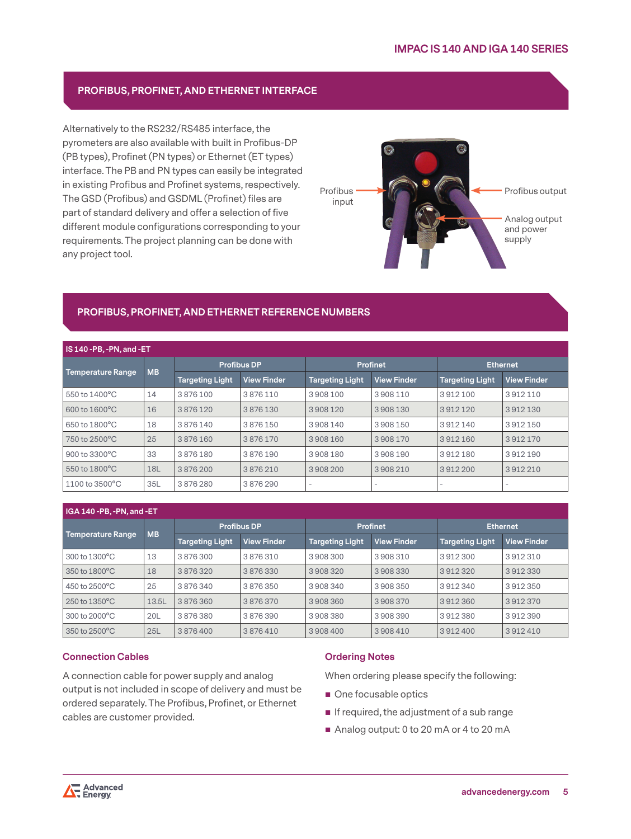# **PROFIBUS, PROFINET, AND ETHERNET INTERFACE**

Alternatively to the RS232/RS485 interface, the pyrometers are also available with built in Profibus-DP (PB types), Profinet (PN types) or Ethernet (ET types) interface. The PB and PN types can easily be integrated in existing Profibus and Profinet systems, respectively. The GSD (Profibus) and GSDML (Profinet) files are part of standard delivery and offer a selection of five different module configurations corresponding to your requirements. The project planning can be done with any project tool.



# **PROFIBUS, PROFINET, AND ETHERNET REFERENCE NUMBERS**

| IS 140 - PB. - PN. and - ET           |                        |                    |                        |                    |                        |                    |                          |
|---------------------------------------|------------------------|--------------------|------------------------|--------------------|------------------------|--------------------|--------------------------|
| <b>MB</b><br><b>Temperature Range</b> |                        | <b>Profibus DP</b> |                        | <b>Profinet</b>    |                        | <b>Ethernet</b>    |                          |
|                                       | <b>Targeting Light</b> | <b>View Finder</b> | <b>Targeting Light</b> | <b>View Finder</b> | <b>Targeting Light</b> | <b>View Finder</b> |                          |
| 550 to $1400^{\circ}$ C               | 14                     | 3876100            | 3876110                | 3908100            | 3908110                | 3912100            | 3912110                  |
| 600 to 1600°C                         | 16                     | 3876120            | 3876130                | 3908120            | 3908130                | 3912120            | 3912130                  |
| 650 to 1800°C                         | 18                     | 3876140            | 3876150                | 3908140            | 3908150                | 3912140            | 3912150                  |
| 750 to 2500 °C                        | 25                     | 3876160            | 3876170                | 3908160            | 3908170                | 3912160            | 3912170                  |
| $900$ to $3300^{\circ}$ C             | 33                     | 3876180            | 3876190                | 3908180            | 3908190                | 3912180            | 3912190                  |
| 550 to 1800 °C                        | <b>18L</b>             | 3876200            | 3876210                | 3908200            | 3908210                | 3912200            | 3912210                  |
| 1100 to 3500°C                        | 35L                    | 3876280            | 3876290                | -                  | $\sim$                 |                    | $\overline{\phantom{a}}$ |

# **IGA 140 -PB, -PN, and -ET**

| <b>MB</b><br>Temperature Range |                        | <b>Profibus DP</b> |                        | <b>Profinet</b>    |                        | <b>Ethernet</b>    |         |
|--------------------------------|------------------------|--------------------|------------------------|--------------------|------------------------|--------------------|---------|
|                                | <b>Targeting Light</b> | <b>View Finder</b> | <b>Targeting Light</b> | <b>View Finder</b> | <b>Targeting Light</b> | <b>View Finder</b> |         |
| 300 to 1300 °C                 | 13                     | 3876300            | 3876310                | 3908300            | 3908310                | 3912300            | 3912310 |
| 350 to 1800°C                  | 18                     | 3876320            | 3876330                | 3908320            | 3908330                | 3912320            | 3912330 |
| 450 to 2500 °C                 | 25                     | 3876340            | 3876350                | 3908340            | 3908350                | 3912340            | 3912350 |
| $250$ to $1350$ <sup>o</sup> C | 13.5L                  | 3876360            | 3876370                | 3908360            | 3908370                | 3912360            | 3912370 |
| 300 to 2000 °C                 | 20L                    | 3876380            | 3876390                | 3908380            | 3908390                | 3912380            | 3912390 |
| 350 to 2500°C                  | 25L                    | 3876400            | 3876410                | 3908400            | 3908410                | 3912400            | 3912410 |

#### **Connection Cables**

A connection cable for power supply and analog output is not included in scope of delivery and must be ordered separately. The Profibus, Profinet, or Ethernet cables are customer provided.

#### **Ordering Notes**

When ordering please specify the following:

- One focusable optics
- $\blacksquare$  If required, the adjustment of a sub range
- Analog output: 0 to 20 mA or 4 to 20 mA

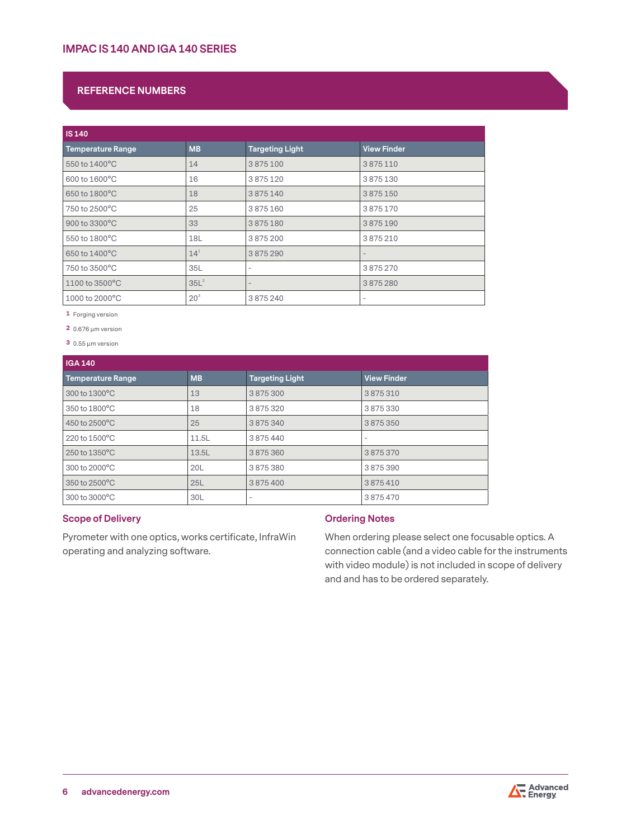# **REFERENCE NUMBERS**

| <b>IS 140</b>            |                  |                          |                          |  |
|--------------------------|------------------|--------------------------|--------------------------|--|
| <b>Temperature Range</b> | <b>MB</b>        | <b>Targeting Light</b>   | <b>View Finder</b>       |  |
| 550 to 1400°C            | 14               | 3875100                  | 3875110                  |  |
| 600 to 1600°C            | 16               | 3875120                  | 3875130                  |  |
| 650 to 1800°C            | 18               | 3875140                  | 3875150                  |  |
| 750 to 2500°C            | 25               | 3875160                  | 3875170                  |  |
| 900 to 3300°C            | 33               | 3875180                  | 3875190                  |  |
| 550 to 1800°C            | 18L              | 3875200                  | 3875210                  |  |
| 650 to 1400°C            | $14^{1}$         | 3875290                  | $\overline{\phantom{a}}$ |  |
| 750 to 3500°C            | 35L              | $\overline{\phantom{a}}$ | 3875270                  |  |
| 1100 to 3500°C           | 35L <sup>2</sup> | $\overline{\phantom{a}}$ | 3875280                  |  |
| 1000 to 2000°C           | 20 <sup>3</sup>  | 3875240                  | $\overline{\phantom{a}}$ |  |

**1** Forging version

**2** 0.676 µm version

**3** 0.55 µm version

| <b>IGA 140</b>            |           |                        |                    |
|---------------------------|-----------|------------------------|--------------------|
| <b>Temperature Range</b>  | <b>MB</b> | <b>Targeting Light</b> | <b>View Finder</b> |
| 300 to 1300°C             | 13        | 3875300                | 3875310            |
| 350 to 1800°C             | 18        | 3875320                | 3875330            |
| 450 to 2500°C             | 25        | 3875340                | 3875350            |
| $220$ to $1500^{\circ}$ C | 11.5L     | 3875440                |                    |
| 250 to 1350°C             | 13.5L     | 3875360                | 3875370            |
| 300 to 2000 °C            | 20L       | 3875380                | 3875390            |
| 350 to 2500°C             | 25L       | 3875400                | 3875410            |
| 300 to 3000 °C            | 30L       |                        | 3875470            |

# **Scope of Delivery**

Pyrometer with one optics, works certificate, InfraWin operating and analyzing software.

# **Ordering Notes**

When ordering please select one focusable optics. A connection cable (and a video cable for the instruments with video module) is not included in scope of delivery and and has to be ordered separately.

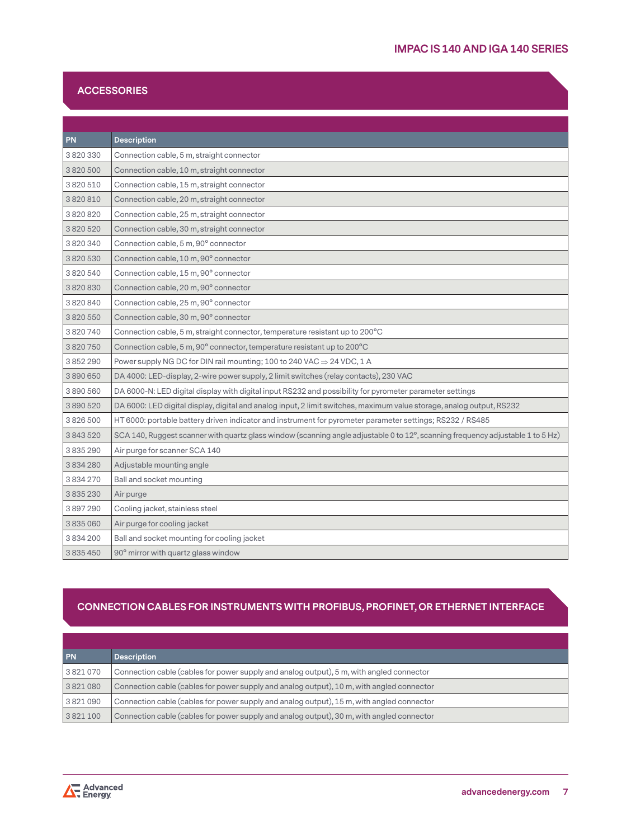# **ACCESSORIES**

| <b>PN</b>     | <b>Description</b>                                                                                                              |
|---------------|---------------------------------------------------------------------------------------------------------------------------------|
| 3820330       | Connection cable, 5 m, straight connector                                                                                       |
| 3820500       | Connection cable, 10 m, straight connector                                                                                      |
| 3 820 510     | Connection cable, 15 m, straight connector                                                                                      |
| 3820810       | Connection cable, 20 m, straight connector                                                                                      |
| 3820820       | Connection cable, 25 m, straight connector                                                                                      |
| 3820520       | Connection cable, 30 m, straight connector                                                                                      |
| 3820340       | Connection cable, 5 m, 90° connector                                                                                            |
| 3820530       | Connection cable, 10 m, 90° connector                                                                                           |
| 3820540       | Connection cable, 15 m, 90° connector                                                                                           |
| 3820830       | Connection cable, 20 m, 90° connector                                                                                           |
| 3820840       | Connection cable, 25 m, 90° connector                                                                                           |
| 3820550       | Connection cable, 30 m, 90° connector                                                                                           |
| 3820740       | Connection cable, 5 m, straight connector, temperature resistant up to 200°C                                                    |
| 3820750       | Connection cable, 5 m, 90° connector, temperature resistant up to 200°C                                                         |
| 3852290       | Power supply NG DC for DIN rail mounting; 100 to 240 VAC $\Rightarrow$ 24 VDC, 1 A                                              |
| 3890650       | DA 4000: LED-display, 2-wire power supply, 2 limit switches (relay contacts), 230 VAC                                           |
| 3890560       | DA 6000-N: LED digital display with digital input RS232 and possibility for pyrometer parameter settings                        |
| 3890520       | DA 6000: LED digital display, digital and analog input, 2 limit switches, maximum value storage, analog output, RS232           |
| 3826500       | HT 6000: portable battery driven indicator and instrument for pyrometer parameter settings; RS232 / RS485                       |
| 3843520       | SCA 140, Ruggest scanner with quartz glass window (scanning angle adjustable 0 to 12°, scanning frequency adjustable 1 to 5 Hz) |
| 3835290       | Air purge for scanner SCA 140                                                                                                   |
| 3834280       | Adjustable mounting angle                                                                                                       |
| 3 8 3 4 2 7 0 | Ball and socket mounting                                                                                                        |
| 3835230       | Air purge                                                                                                                       |
| 3897290       | Cooling jacket, stainless steel                                                                                                 |
| 3835060       | Air purge for cooling jacket                                                                                                    |
| 3834200       | Ball and socket mounting for cooling jacket                                                                                     |
| 3835450       | 90° mirror with quartz glass window                                                                                             |

# **CONNECTION CABLES FOR INSTRUMENTS WITH PROFIBUS, PROFINET, OR ETHERNET INTERFACE**

| <b>PN</b> | <b>Description</b>                                                                        |
|-----------|-------------------------------------------------------------------------------------------|
| 3821070   | Connection cable (cables for power supply and analog output), 5 m, with angled connector  |
| 3821080   | Connection cable (cables for power supply and analog output), 10 m, with angled connector |
| 3821090   | Connection cable (cables for power supply and analog output), 15 m, with angled connector |
| 3821100   | Connection cable (cables for power supply and analog output), 30 m, with angled connector |